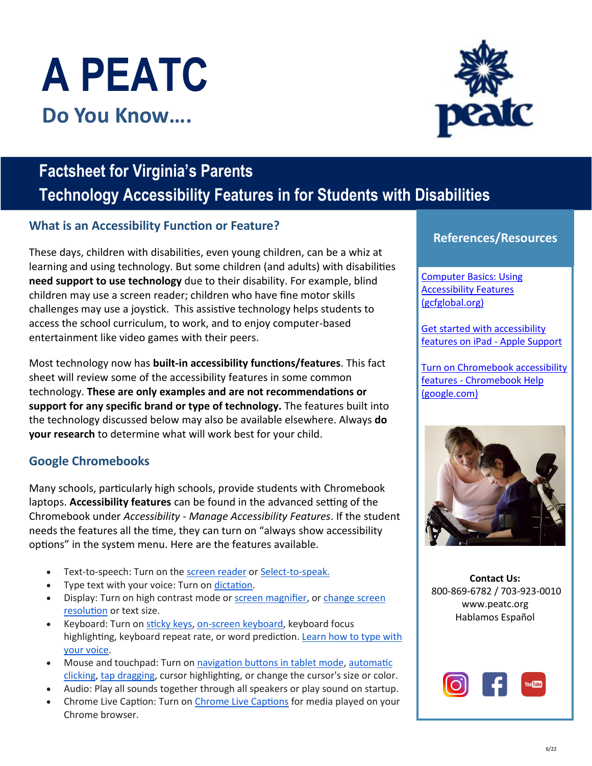# **A PEATC Do You Know….**

## **Factsheet for Virginia's Parents Technology Accessibility Features in for Students with Disabilities**

#### **What is an Accessibility Function or Feature?**

These days, children with disabilities, even young children, can be a whiz at learning and using technology. But some children (and adults) with disabilities **need support to use technology** due to their disability. For example, blind children may use a screen reader; children who have fine motor skills challenges may use a joystick. This assistive technology helps students to access the school curriculum, to work, and to enjoy computer-based entertainment like video games with their peers.

Most technology now has **built-in accessibility functions/features**. This fact sheet will review some of the accessibility features in some common technology. **These are only examples and are not recommendations or support for any specific brand or type of technology.** The features built into the technology discussed below may also be available elsewhere. Always **do your research** to determine what will work best for your child.

### **Google Chromebooks**

Many schools, particularly high schools, provide students with Chromebook laptops. **Accessibility features** can be found in the advanced setting of the Chromebook under *Accessibility - Manage Accessibility Features*. If the student needs the features all the time, they can turn on "always show accessibility options" in the system menu. Here are the features available.

- Text-to-speech: Turn on the [screen reader](https://support.google.com/chromebook/answer/7031755) or [Select-to-speak.](https://support.google.com/chromebook/answer/9032490)
- Type text with your voice: Turn on [dictation.](https://support.google.com/chromebook/answer/12001244)
- Display: Turn on high contrast mode or **screen magnifier**, or [change screen](https://support.google.com/chromebook/answer/6320705#chromebook_screenresolution) [resolution](https://support.google.com/chromebook/answer/6320705#chromebook_screenresolution) or text size.
- Keyboard: Turn on [sticky keys,](https://support.google.com/chromebook/answer/177893#onehandshortcut) [on-screen keyboard,](https://support.google.com/chromebook/answer/6076237) keyboard focus highlighting, keyboard repeat rate, or word prediction. [Learn how to type with](https://support.google.com/chromebook/answer/177893#typewithvoice) [your voice.](https://support.google.com/chromebook/answer/177893#typewithvoice)
- Mouse and touchpad: Turn on [navigation buttons in tablet mode,](https://support.google.com/chromebook/answer/177893#tabletmode) [automatic](https://support.google.com/chromebook/answer/9441453) [clicking,](https://support.google.com/chromebook/answer/9441453) [tap dragging,](https://support.google.com/chromebook/answer/177893#tapdrag) cursor highlighting, or change the cursor's size or color.
- Audio: Play all sounds together through all speakers or play sound on startup.
- Chrome Live Caption: Turn on [Chrome Live Captions](https://support.google.com/chromebook/answer/10616170#turn_on_captions) for media played on your Chrome browser.

#### **References/Resources**

Computer Basics: Using Accessibility Features (gcfglobal.org)

Get started with accessibility features on iPad - Apple Support

Turn on Chromebook accessibility features - Chromebook Help (google.com)



**Contact Us:**  800-869-6782 / 703-923-0010 [www.peatc.org](https://peatc.org/) Hablamos Español